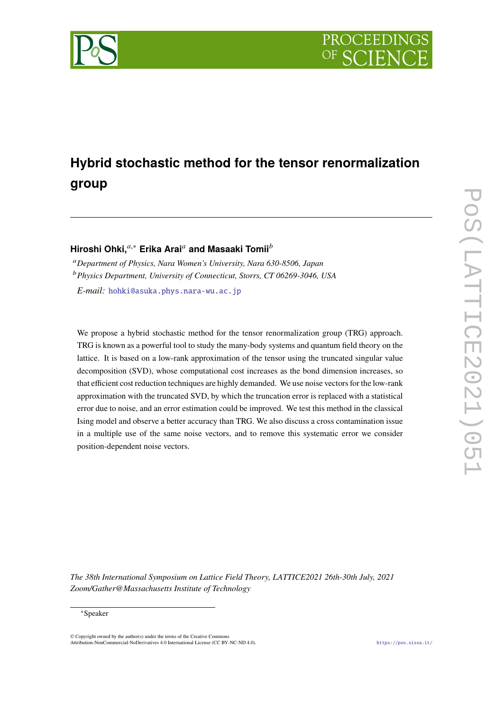

# **Hybrid stochastic method for the tensor renormalization group**

# **Hiroshi Ohki,**<sup>a,∗</sup> Erika Arai<sup>a</sup> and Masaaki Tomii<sup>b</sup>

<sup>𝑎</sup>*Department of Physics, Nara Women's University, Nara 630-8506, Japan* <sup>𝑏</sup>*Physics Department, University of Connecticut, Storrs, CT 06269-3046, USA E-mail:* [hohki@asuka.phys.nara-wu.ac.jp](mailto:hohki@asuka.phys.nara-wu.ac.jp)

We propose a hybrid stochastic method for the tensor renormalization group (TRG) approach. TRG is known as a powerful tool to study the many-body systems and quantum field theory on the lattice. It is based on a low-rank approximation of the tensor using the truncated singular value decomposition (SVD), whose computational cost increases as the bond dimension increases, so that efficient cost reduction techniques are highly demanded. We use noise vectors for the low-rank approximation with the truncated SVD, by which the truncation error is replaced with a statistical error due to noise, and an error estimation could be improved. We test this method in the classical Ising model and observe a better accuracy than TRG. We also discuss a cross contamination issue in a multiple use of the same noise vectors, and to remove this systematic error we consider position-dependent noise vectors.

*The 38th International Symposium on Lattice Field Theory, LATTICE2021 26th-30th July, 2021 Zoom/Gather@Massachusetts Institute of Technology*

#### <sup>∗</sup>Speaker

 $\odot$  Copyright owned by the author(s) under the terms of the Creative Common Attribution-NonCommercial-NoDerivatives 4.0 International License (CC BY-NC-ND 4.0). <https://pos.sissa.it/>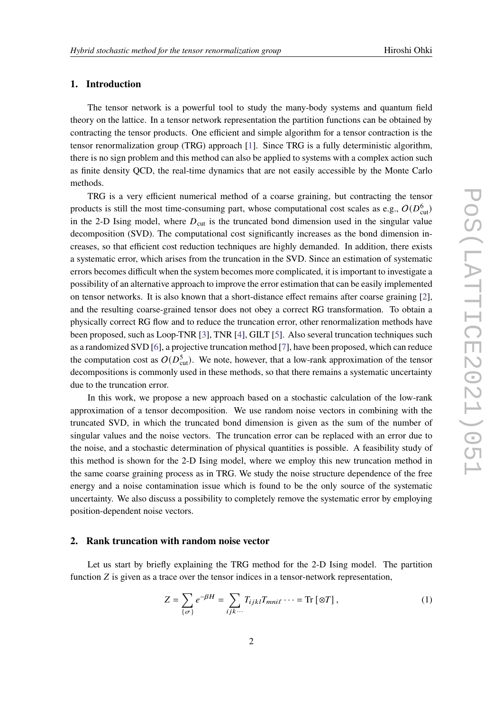#### **1. Introduction**

The tensor network is a powerful tool to study the many-body systems and quantum field theory on the lattice. In a tensor network representation the partition functions can be obtained by contracting the tensor products. One efficient and simple algorithm for a tensor contraction is the tensor renormalization group (TRG) approach [\[1\]](#page-7-0). Since TRG is a fully deterministic algorithm, there is no sign problem and this method can also be applied to systems with a complex action such as finite density QCD, the real-time dynamics that are not easily accessible by the Monte Carlo methods.

TRG is a very efficient numerical method of a coarse graining, but contracting the tensor products is still the most time-consuming part, whose computational cost scales as e.g.,  $O(D_{\text{cut}}^6)$ in the 2-D Ising model, where  $D_{\text{cut}}$  is the truncated bond dimension used in the singular value decomposition (SVD). The computational cost significantly increases as the bond dimension increases, so that efficient cost reduction techniques are highly demanded. In addition, there exists a systematic error, which arises from the truncation in the SVD. Since an estimation of systematic errors becomes difficult when the system becomes more complicated, it is important to investigate a possibility of an alternative approach to improve the error estimation that can be easily implemented on tensor networks. It is also known that a short-distance effect remains after coarse graining [\[2\]](#page-8-0), and the resulting coarse-grained tensor does not obey a correct RG transformation. To obtain a physically correct RG flow and to reduce the truncation error, other renormalization methods have been proposed, such as Loop-TNR [\[3\]](#page-8-1), TNR [\[4\]](#page-8-2), GILT [\[5\]](#page-8-3). Also several truncation techniques such as a randomized SVD [\[6\]](#page-8-4), a projective truncation method [\[7\]](#page-8-5), have been proposed, which can reduce the computation cost as  $O(D_{\text{cut}}^5)$ . We note, however, that a low-rank approximation of the tensor decompositions is commonly used in these methods, so that there remains a systematic uncertainty due to the truncation error.

In this work, we propose a new approach based on a stochastic calculation of the low-rank approximation of a tensor decomposition. We use random noise vectors in combining with the truncated SVD, in which the truncated bond dimension is given as the sum of the number of singular values and the noise vectors. The truncation error can be replaced with an error due to the noise, and a stochastic determination of physical quantities is possible. A feasibility study of this method is shown for the 2-D Ising model, where we employ this new truncation method in the same coarse graining process as in TRG. We study the noise structure dependence of the free energy and a noise contamination issue which is found to be the only source of the systematic uncertainty. We also discuss a possibility to completely remove the systematic error by employing position-dependent noise vectors.

### **2. Rank truncation with random noise vector**

Let us start by briefly explaining the TRG method for the 2-D Ising model. The partition function  $Z$  is given as a trace over the tensor indices in a tensor-network representation,

$$
Z = \sum_{\{\sigma\}} e^{-\beta H} = \sum_{ijk\cdots} T_{ijkl} T_{mni\ell} \cdots = \text{Tr} [\otimes T], \qquad (1)
$$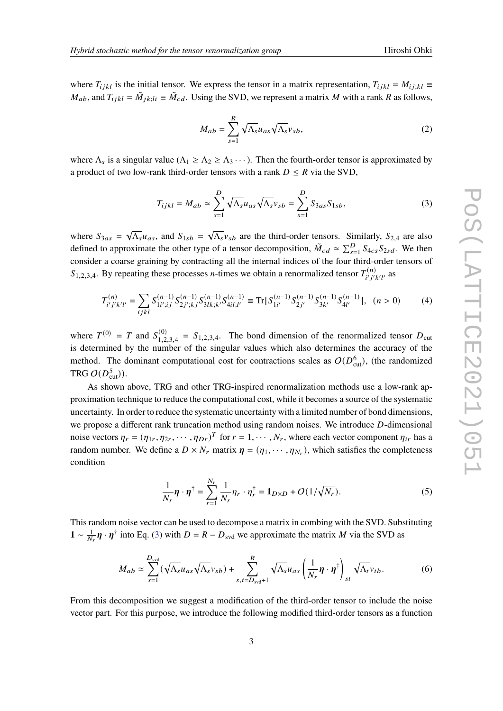where  $T_{ijkl}$  is the initial tensor. We express the tensor in a matrix representation,  $T_{ijkl} = M_{ijkl} =$  $M_{ab}$ , and  $T_{ijkl} = \tilde{M}_{jkl}$  =  $\tilde{M}_{cd}$ . Using the SVD, we represent a matrix M with a rank R as follows,

<span id="page-2-0"></span>
$$
M_{ab} = \sum_{s=1}^{R} \sqrt{\Lambda_s} u_{as} \sqrt{\Lambda_s} v_{sb},
$$
 (2)

where  $\Lambda_s$  is a singular value ( $\Lambda_1 \geq \Lambda_2 \geq \Lambda_3 \cdots$ ). Then the fourth-order tensor is approximated by a product of two low-rank third-order tensors with a rank  $D \leq R$  via the SVD,

$$
T_{ijkl} = M_{ab} \simeq \sum_{s=1}^{D} \sqrt{\Lambda_s} u_{as} \sqrt{\Lambda_s} v_{sb} = \sum_{s=1}^{D} S_{3as} S_{1sb},
$$
\n(3)

where  $S_{3as} = \sqrt{\Lambda_s} u_{as}$ , and  $S_{1sb} = \sqrt{\Lambda_s} v_{sb}$  are the third-order tensors. Similarly,  $S_{2,4}$  are also defined to approximate the other type of a tensor decomposition,  $\tilde{M}_{cd} \approx \sum_{s=1}^{D} S_{4cs} S_{2sd}$ . We then consider a coarse graining by contracting all the internal indices of the four third-order tensors of  $S_{1,2,3,4}$ . By repeating these processes *n*-times we obtain a renormalized tensor  $T_{i' i'}^{(n)}$  $\sum_{i'}^{(n)}$  as

$$
T_{i'j'k'l'}^{(n)} = \sum_{ijkl} S_{1i';ij}^{(n-1)} S_{2j';kj}^{(n-1)} S_{3lk;k'}^{(n-1)} S_{4il;l'}^{(n-1)} \equiv \text{Tr}[S_{1i'}^{(n-1)} S_{2j'}^{(n-1)} S_{3k'}^{(n-1)} S_{4l'}^{(n-1)}], \quad (n > 0) \tag{4}
$$

where  $T^{(0)} = T$  and  $S_{1,2}^{(0)}$  $1,2,3,4 = S_{1,2,3,4}$ . The bond dimension of the renormalized tensor  $D_{\text{cut}}$ is determined by the number of the singular values which also determines the accuracy of the method. The dominant computational cost for contractions scales as  $O(D_{\text{cut}}^6)$ , (the randomized TRG  $O(D_{\text{cut}}^5)$ ).

As shown above, TRG and other TRG-inspired renormalization methods use a low-rank approximation technique to reduce the computational cost, while it becomes a source of the systematic uncertainty. In order to reduce the systematic uncertainty with a limited number of bond dimensions, we propose a different rank truncation method using random noises. We introduce D-dimensional noise vectors  $\eta_r = (\eta_{1r}, \eta_{2r}, \cdots, \eta_{Dr})^T$  for  $r = 1, \cdots, N_r$ , where each vector component  $\eta_{ir}$  has a random number. We define a  $D \times N_r$  matrix  $\eta = (\eta_1, \dots, \eta_{N_r})$ , which satisfies the completeness condition

<span id="page-2-1"></span>
$$
\frac{1}{N_r}\boldsymbol{\eta} \cdot \boldsymbol{\eta}^\dagger = \sum_{r=1}^{N_r} \frac{1}{N_r} \eta_r \cdot \eta_r^\dagger = \mathbf{1}_{D \times D} + O(1/\sqrt{N_r}).\tag{5}
$$

This random noise vector can be used to decompose a matrix in combing with the SVD. Substituting **1** ∼  $\frac{1}{N_r} \eta \cdot \eta^{\dagger}$  into Eq. [\(3\)](#page-2-0) with  $D = R - D_{\text{svd}}$  we approximate the matrix *M* via the SVD as

$$
M_{ab} \simeq \sum_{s=1}^{D_{svd}} (\sqrt{\Lambda_s} u_{as} \sqrt{\Lambda_s} v_{sb}) + \sum_{s,t=D_{svd}+1}^{R} \sqrt{\Lambda_s} u_{as} \left(\frac{1}{N_r} \boldsymbol{\eta} \cdot \boldsymbol{\eta}^{\dagger}\right)_{st} \sqrt{\Lambda_t} v_{tb}.
$$
 (6)

From this decomposition we suggest a modification of the third-order tensor to include the noise vector part. For this purpose, we introduce the following modified third-order tensors as a function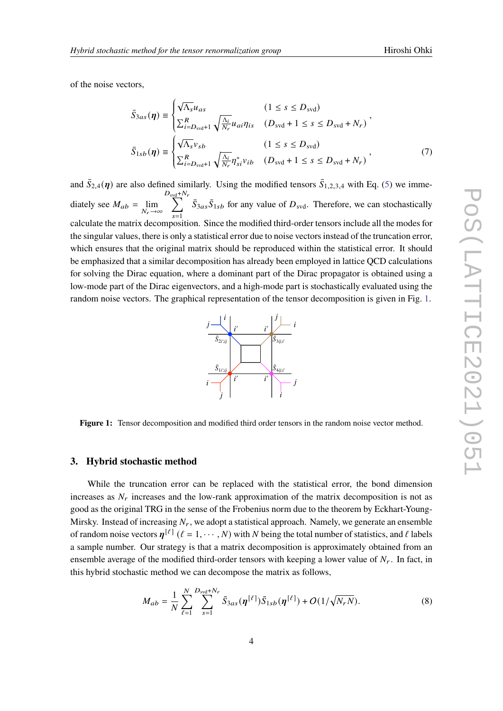of the noise vectors,

$$
\bar{S}_{3as}(\eta) \equiv \begin{cases}\n\sqrt{\Lambda_s} u_{as} & (1 \le s \le D_{svd}) \\
\sum_{i=D_{svd}+1}^R \sqrt{\frac{\Lambda_i}{N_r}} u_{ai} \eta_{is} & (D_{svd} + 1 \le s \le D_{svd} + N_r) \n\end{cases},
$$
\n
$$
\bar{S}_{1sb}(\eta) \equiv \begin{cases}\n\sqrt{\Lambda_s} v_{sb} & (1 \le s \le D_{svd}) \\
\sum_{i=D_{svd}+1}^R \sqrt{\frac{\Lambda_i}{N_r}} \eta_{si}^* v_{ib} & (D_{svd} + 1 \le s \le D_{svd} + N_r)\n\end{cases},
$$
\n(7)

and  $\bar{S}_{2,4}(\eta)$  are also defined similarly. Using the modified tensors  $\bar{S}_{1,2,3,4}$  with Eq. [\(5\)](#page-2-1) we immediately see  $M_{ab} = \lim_{N_r \to \infty}$  $D_{\frac{\text{svd}}{\sum}} + N_r$  $\overline{s=1}$  $\bar{S}_{3as}\bar{S}_{1sb}$  for any value of  $D_{svd}$ . Therefore, we can stochastically calculate the matrix decomposition. Since the modified third-order tensors include all the modes for the singular values, there is only a statistical error due to noise vectors instead of the truncation error, which ensures that the original matrix should be reproduced within the statistical error. It should be emphasized that a similar decomposition has already been employed in lattice QCD calculations for solving the Dirac equation, where a dominant part of the Dirac propagator is obtained using a low-mode part of the Dirac eigenvectors, and a high-mode part is stochastically evaluated using the random noise vectors. The graphical representation of the tensor decomposition is given in Fig. [1.](#page-3-0)



<span id="page-3-0"></span>**Figure 1:** Tensor decomposition and modified third order tensors in the random noise vector method.

#### **3. Hybrid stochastic method**

While the truncation error can be replaced with the statistical error, the bond dimension increases as  $N_r$  increases and the low-rank approximation of the matrix decomposition is not as good as the original TRG in the sense of the Frobenius norm due to the theorem by Eckhart-Young-Mirsky. Instead of increasing  $N_r$ , we adopt a statistical approach. Namely, we generate an ensemble of random noise vectors  $\eta^{[\ell]}$  ( $\ell = 1, \cdots, N$ ) with N being the total number of statistics, and  $\ell$  labels a sample number. Our strategy is that a matrix decomposition is approximately obtained from an ensemble average of the modified third-order tensors with keeping a lower value of  $N_r$ . In fact, in this hybrid stochastic method we can decompose the matrix as follows,

$$
M_{ab} = \frac{1}{N} \sum_{\ell=1}^{N} \sum_{s=1}^{D_{\text{svd}} + N_r} \bar{S}_{3as}(\eta^{[\ell]}) \bar{S}_{1sb}(\eta^{[\ell]}) + O(1/\sqrt{N_r N}).
$$
 (8)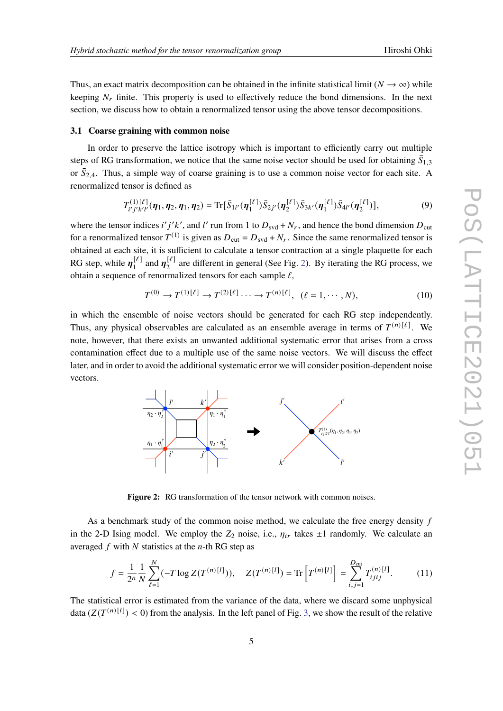Thus, an exact matrix decomposition can be obtained in the infinite statistical limit ( $N \to \infty$ ) while keeping  $N_r$  finite. This property is used to effectively reduce the bond dimensions. In the next section, we discuss how to obtain a renormalized tensor using the above tensor decompositions.

#### **3.1 Coarse graining with common noise**

In order to preserve the lattice isotropy which is important to efficiently carry out multiple steps of RG transformation, we notice that the same noise vector should be used for obtaining  $\bar{S}_{1,3}$ or  $\bar{S}_{2,4}$ . Thus, a simple way of coarse graining is to use a common noise vector for each site. A renormalized tensor is defined as

$$
T_{i'j'k'l'}^{(1)}(\eta_1, \eta_2, \eta_1, \eta_2) = \text{Tr}[\bar{S}_{1i'}(\eta_1^{[\ell]}) \bar{S}_{2j'}(\eta_2^{[\ell]}) \bar{S}_{3k'}(\eta_1^{[\ell]}) \bar{S}_{4l'}(\eta_2^{[\ell]})],
$$
\n(9)

where the tensor indices i' j'k', and l' run from 1 to  $D_{\text{svd}} + N_r$ , and hence the bond dimension  $D_{\text{cut}}$ for a renormalized tensor  $T^{(1)}$  is given as  $D_{\text{cut}} = D_{\text{svd}} + N_r$ . Since the same renormalized tensor is obtained at each site, it is sufficient to calculate a tensor contraction at a single plaquette for each RG step, while  $\eta_1^{[\ell]}$  $\eta_1^{[\ell]}$  and  $\eta_2^{[\ell]}$  $\frac{1}{2}$  are different in general (See Fig. [2\)](#page-4-0). By iterating the RG process, we obtain a sequence of renormalized tensors for each sample  $\ell$ ,

<span id="page-4-1"></span>
$$
T^{(0)} \to T^{(1)}[\ell] \to T^{(2)}[\ell] \dots \to T^{(n)}[\ell], \ (\ell = 1, \dots, N),
$$
\n(10)

in which the ensemble of noise vectors should be generated for each RG step independently. Thus, any physical observables are calculated as an ensemble average in terms of  $T^{(n)[\ell]}$ . We note, however, that there exists an unwanted additional systematic error that arises from a cross contamination effect due to a multiple use of the same noise vectors. We will discuss the effect later, and in order to avoid the additional systematic error we will consider position-dependent noise vectors.

<span id="page-4-0"></span>

**Figure 2:** RG transformation of the tensor network with common noises.

As a benchmark study of the common noise method, we calculate the free energy density  $f$ in the 2-D Ising model. We employ the  $Z_2$  noise, i.e.,  $\eta_{ir}$  takes  $\pm 1$  randomly. We calculate an averaged  $f$  with  $N$  statistics at the  $n$ -th RG step as

$$
f = \frac{1}{2^n} \frac{1}{N} \sum_{\ell=1}^N (-T \log Z(T^{(n)[l]})), \quad Z(T^{(n)[l]}) = \text{Tr} \left[ T^{(n)[l]} \right] = \sum_{i,j=1}^{D_{\text{cut}}} T_{ijij}^{(n)[l]}.
$$
 (11)

The statistical error is estimated from the variance of the data, where we discard some unphysical data  $(Z(T^{(n)[l]}) < 0)$  from the analysis. In the left panel of Fig. [3,](#page-6-0) we show the result of the relative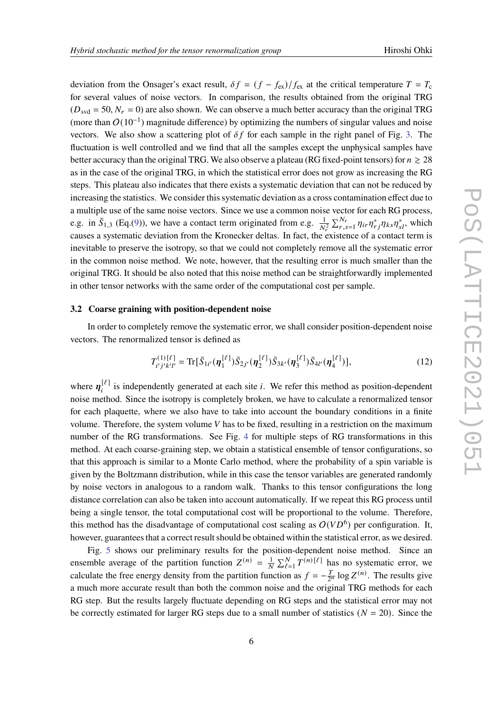deviation from the Onsager's exact result,  $\delta f = (f - f_{ex})/f_{ex}$  at the critical temperature  $T = T_c$ for several values of noise vectors. In comparison, the results obtained from the original TRG  $(D_{\text{svd}} = 50, N_r = 0)$  are also shown. We can observe a much better accuracy than the original TRG (more than  $O(10^{-1})$  magnitude difference) by optimizing the numbers of singular values and noise vectors. We also show a scattering plot of  $\delta f$  for each sample in the right panel of Fig. [3.](#page-6-0) The fluctuation is well controlled and we find that all the samples except the unphysical samples have better accuracy than the original TRG. We also observe a plateau (RG fixed-point tensors) for  $n \ge 28$ as in the case of the original TRG, in which the statistical error does not grow as increasing the RG steps. This plateau also indicates that there exists a systematic deviation that can not be reduced by increasing the statistics. We consider this systematic deviation as a cross contamination effect due to a multiple use of the same noise vectors. Since we use a common noise vector for each RG process, e.g. in  $\bar{S}_{1,3}$  (Eq.[\(9\)](#page-4-1)), we have a contact term originated from e.g.  $\frac{1}{N_f^2} \sum_{r,s=1}^{N_r} \eta_{ir} \eta_{rj}^* \eta_{ks} \eta_{sl}^*$ , which causes a systematic deviation from the Kronecker deltas. In fact, the existence of a contact term is inevitable to preserve the isotropy, so that we could not completely remove all the systematic error in the common noise method. We note, however, that the resulting error is much smaller than the original TRG. It should be also noted that this noise method can be straightforwardly implemented in other tensor networks with the same order of the computational cost per sample.

#### **3.2 Coarse graining with position-dependent noise**

In order to completely remove the systematic error, we shall consider position-dependent noise vectors. The renormalized tensor is defined as

$$
T_{i'j'k'l'}^{(1)} = \text{Tr}[\bar{S}_{1i'}(\eta_1^{[\ell]})\bar{S}_{2j'}(\eta_2^{[\ell]})\bar{S}_{3k'}(\eta_3^{[\ell]})\bar{S}_{4l'}(\eta_4^{[\ell]})],
$$
\n(12)

where  $\eta_i^{[\ell]}$  is independently generated at each site *i*. We refer this method as position-dependent noise method. Since the isotropy is completely broken, we have to calculate a renormalized tensor for each plaquette, where we also have to take into account the boundary conditions in a finite volume. Therefore, the system volume  $V$  has to be fixed, resulting in a restriction on the maximum number of the RG transformations. See Fig. [4](#page-7-1) for multiple steps of RG transformations in this method. At each coarse-graining step, we obtain a statistical ensemble of tensor configurations, so that this approach is similar to a Monte Carlo method, where the probability of a spin variable is given by the Boltzmann distribution, while in this case the tensor variables are generated randomly by noise vectors in analogous to a random walk. Thanks to this tensor configurations the long distance correlation can also be taken into account automatically. If we repeat this RG process until being a single tensor, the total computational cost will be proportional to the volume. Therefore, this method has the disadvantage of computational cost scaling as  $O(VD^6)$  per configuration. It, however, guarantees that a correct result should be obtained within the statistical error, as we desired.

Fig. [5](#page-8-6) shows our preliminary results for the position-dependent noise method. Since an ensemble average of the partition function  $Z^{(n)} = \frac{1}{N} \sum_{\ell=1}^{N} T^{(n)[\ell]}$  has no systematic error, we calculate the free energy density from the partition function as  $f = -\frac{T}{2}$  $\frac{T}{2^n}$  log  $Z^{(n)}$ . The results give a much more accurate result than both the common noise and the original TRG methods for each RG step. But the results largely fluctuate depending on RG steps and the statistical error may not be correctly estimated for larger RG steps due to a small number of statistics ( $N = 20$ ). Since the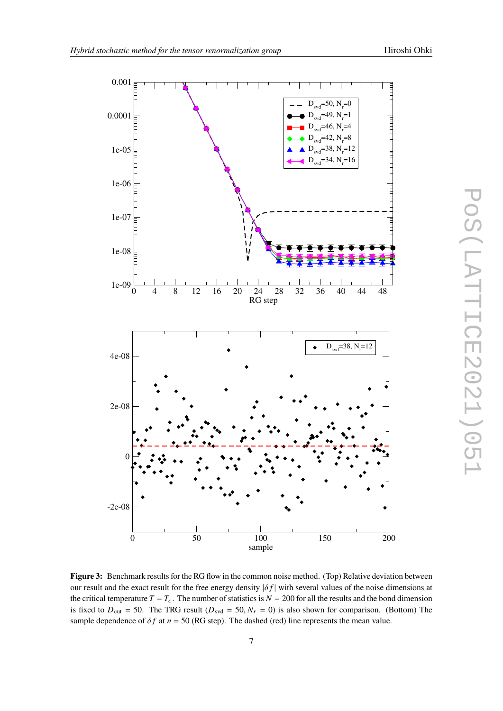<span id="page-6-0"></span>

**Figure 3:** Benchmark results for the RG flow in the common noise method. (Top) Relative deviation between our result and the exact result for the free energy density  $|\delta f|$  with several values of the noise dimensions at the critical temperature  $T = T_c$ . The number of statistics is  $N = 200$  for all the results and the bond dimension is fixed to  $D_{\text{cut}} = 50$ . The TRG result ( $D_{\text{svd}} = 50$ ,  $N_r = 0$ ) is also shown for comparison. (Bottom) The sample dependence of  $\delta f$  at  $n = 50$  (RG step). The dashed (red) line represents the mean value.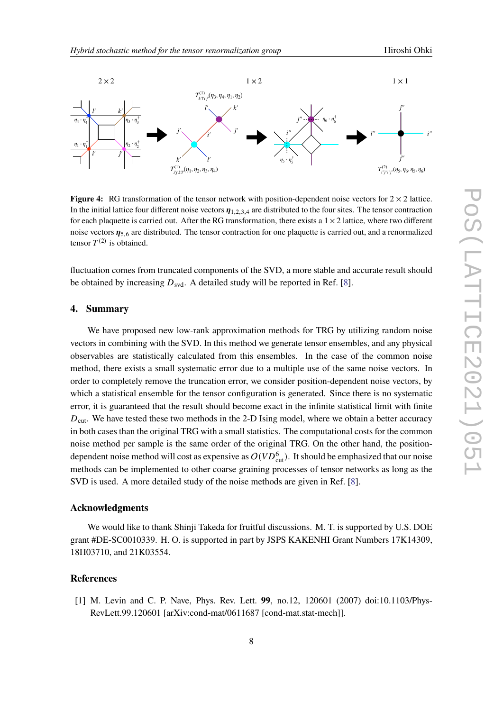<span id="page-7-1"></span>

**Figure 4:** RG transformation of the tensor network with position-dependent noise vectors for  $2 \times 2$  lattice. In the initial lattice four different noise vectors  $\eta_{1,2,3,4}$  are distributed to the four sites. The tensor contraction for each plaquette is carried out. After the RG transformation, there exists a  $1 \times 2$  lattice, where two different noise vectors  $\eta_{5,6}$  are distributed. The tensor contraction for one plaquette is carried out, and a renormalized tensor  $T^{(2)}$  is obtained.

fluctuation comes from truncated components of the SVD, a more stable and accurate result should be obtained by increasing  $D_{\text{svd}}$ . A detailed study will be reported in Ref. [\[8\]](#page-8-7).

# **4. Summary**

We have proposed new low-rank approximation methods for TRG by utilizing random noise vectors in combining with the SVD. In this method we generate tensor ensembles, and any physical observables are statistically calculated from this ensembles. In the case of the common noise method, there exists a small systematic error due to a multiple use of the same noise vectors. In order to completely remove the truncation error, we consider position-dependent noise vectors, by which a statistical ensemble for the tensor configuration is generated. Since there is no systematic error, it is guaranteed that the result should become exact in the infinite statistical limit with finite  $D_{\text{cut}}$ . We have tested these two methods in the 2-D Ising model, where we obtain a better accuracy in both cases than the original TRG with a small statistics. The computational costs for the common noise method per sample is the same order of the original TRG. On the other hand, the positiondependent noise method will cost as expensive as  $O(VD_{\text{cut}}^6)$ . It should be emphasized that our noise methods can be implemented to other coarse graining processes of tensor networks as long as the SVD is used. A more detailed study of the noise methods are given in Ref. [\[8\]](#page-8-7).

### **Acknowledgments**

We would like to thank Shinji Takeda for fruitful discussions. M. T. is supported by U.S. DOE grant #DE-SC0010339. H. O. is supported in part by JSPS KAKENHI Grant Numbers 17K14309, 18H03710, and 21K03554.

# **References**

<span id="page-7-0"></span>[1] M. Levin and C. P. Nave, Phys. Rev. Lett. **99**, no.12, 120601 (2007) doi:10.1103/Phys-RevLett.99.120601 [arXiv:cond-mat/0611687 [cond-mat.stat-mech]].